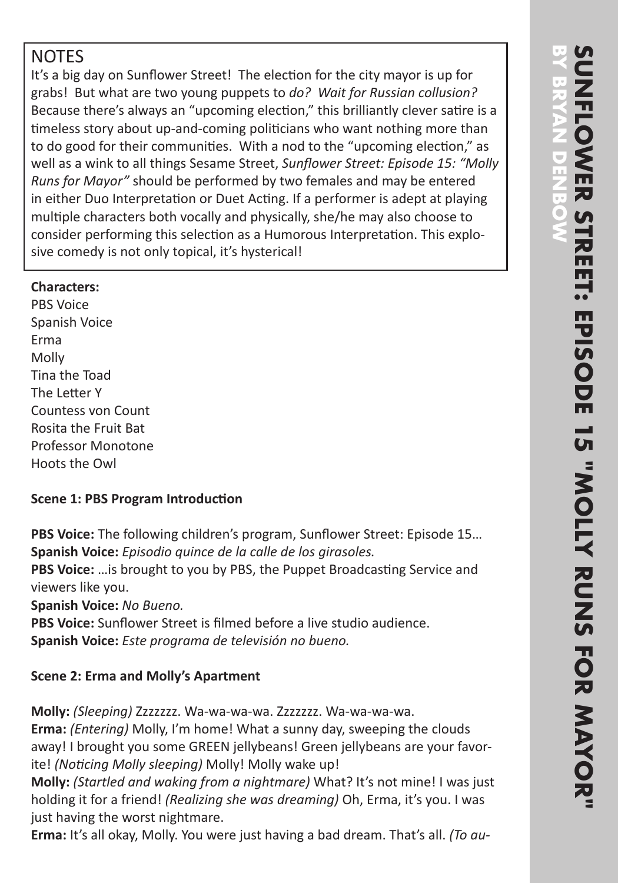# **NOTES**

It's a big day on Sunflower Street! The election for the city mayor is up for grabs! But what are two young puppets to *do? Wait for Russian collusion?* Because there's always an "upcoming election," this brilliantly clever satire is a timeless story about up-and-coming politicians who want nothing more than to do good for their communities. With a nod to the "upcoming election," as well as a wink to all things Sesame Street, *Sunflower Street: Episode 15: "Molly Runs for Mayor"* should be performed by two females and may be entered in either Duo Interpretation or Duet Acting. If a performer is adept at playing multiple characters both vocally and physically, she/he may also choose to consider performing this selection as a Humorous Interpretation. This explosive comedy is not only topical, it's hysterical!

### **Characters:**

PBS Voice Spanish Voice Erma Molly Tina the Toad The Letter Y Countess von Count Rosita the Fruit Bat Professor Monotone Hoots the Owl

## **Scene 1: PBS Program Introduction**

**PBS Voice:** The following children's program, Sunflower Street: Episode 15… **Spanish Voice:** *Episodio quince de la calle de los girasoles.*

**PBS Voice:** …is brought to you by PBS, the Puppet Broadcasting Service and viewers like you.

**Spanish Voice:** *No Bueno.*

**PBS Voice:** Sunflower Street is filmed before a live studio audience. **Spanish Voice:** *Este programa de televisión no bueno.*

# **Scene 2: Erma and Molly's Apartment**

**Molly:** *(Sleeping)* Zzzzzzz. Wa-wa-wa-wa. Zzzzzzz. Wa-wa-wa-wa. **Erma:** *(Entering)* Molly, I'm home! What a sunny day, sweeping the clouds away! I brought you some GREEN jellybeans! Green jellybeans are your favorite! *(Noticing Molly sleeping)* Molly! Molly wake up!

**Molly:** *(Startled and waking from a nightmare)* What? It's not mine! I was just holding it for a friend! *(Realizing she was dreaming)* Oh, Erma, it's you. I was just having the worst nightmare.

**Erma:** It's all okay, Molly. You were just having a bad dream. That's all. *(To au-*